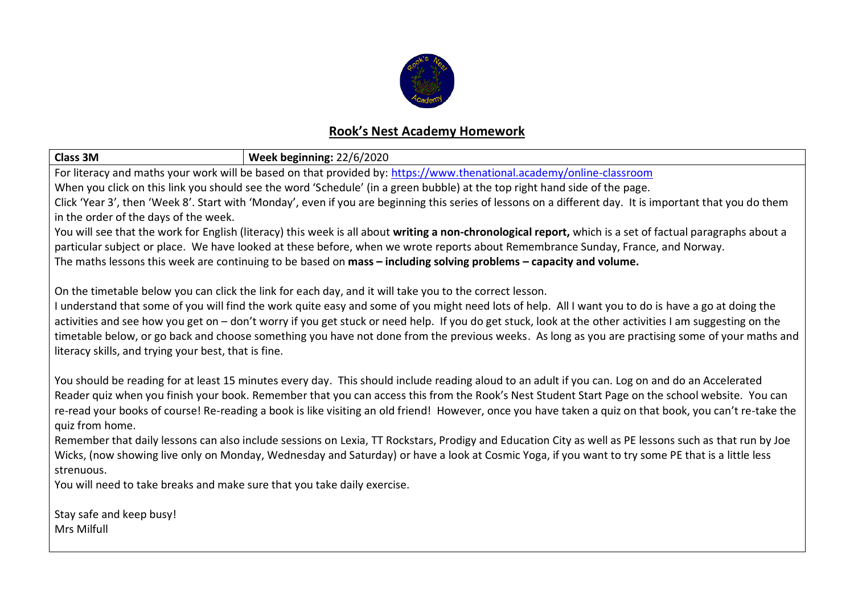

## **Rook's Nest Academy Homework**

| <b>Class 3M</b>                                                                                                                                                                                                                                                                                            | Week beginning: 22/6/2020 |  |  |  |
|------------------------------------------------------------------------------------------------------------------------------------------------------------------------------------------------------------------------------------------------------------------------------------------------------------|---------------------------|--|--|--|
| For literacy and maths your work will be based on that provided by: https://www.thenational.academy/online-classroom                                                                                                                                                                                       |                           |  |  |  |
| When you click on this link you should see the word 'Schedule' (in a green bubble) at the top right hand side of the page.                                                                                                                                                                                 |                           |  |  |  |
| Click 'Year 3', then 'Week 8'. Start with 'Monday', even if you are beginning this series of lessons on a different day. It is important that you do them                                                                                                                                                  |                           |  |  |  |
| in the order of the days of the week.                                                                                                                                                                                                                                                                      |                           |  |  |  |
| You will see that the work for English (literacy) this week is all about writing a non-chronological report, which is a set of factual paragraphs about a                                                                                                                                                  |                           |  |  |  |
| particular subject or place. We have looked at these before, when we wrote reports about Remembrance Sunday, France, and Norway.                                                                                                                                                                           |                           |  |  |  |
| The maths lessons this week are continuing to be based on mass - including solving problems - capacity and volume.                                                                                                                                                                                         |                           |  |  |  |
| On the timetable below you can click the link for each day, and it will take you to the correct lesson.                                                                                                                                                                                                    |                           |  |  |  |
| I understand that some of you will find the work quite easy and some of you might need lots of help. All I want you to do is have a go at doing the                                                                                                                                                        |                           |  |  |  |
| activities and see how you get on - don't worry if you get stuck or need help. If you do get stuck, look at the other activities I am suggesting on the                                                                                                                                                    |                           |  |  |  |
| timetable below, or go back and choose something you have not done from the previous weeks. As long as you are practising some of your maths and                                                                                                                                                           |                           |  |  |  |
| literacy skills, and trying your best, that is fine.                                                                                                                                                                                                                                                       |                           |  |  |  |
|                                                                                                                                                                                                                                                                                                            |                           |  |  |  |
| You should be reading for at least 15 minutes every day. This should include reading aloud to an adult if you can. Log on and do an Accelerated                                                                                                                                                            |                           |  |  |  |
| Reader quiz when you finish your book. Remember that you can access this from the Rook's Nest Student Start Page on the school website. You can<br>re-read your books of course! Re-reading a book is like visiting an old friend! However, once you have taken a quiz on that book, you can't re-take the |                           |  |  |  |
| quiz from home.                                                                                                                                                                                                                                                                                            |                           |  |  |  |
| Remember that daily lessons can also include sessions on Lexia, TT Rockstars, Prodigy and Education City as well as PE lessons such as that run by Joe                                                                                                                                                     |                           |  |  |  |
| Wicks, (now showing live only on Monday, Wednesday and Saturday) or have a look at Cosmic Yoga, if you want to try some PE that is a little less                                                                                                                                                           |                           |  |  |  |
| strenuous.                                                                                                                                                                                                                                                                                                 |                           |  |  |  |
| You will need to take breaks and make sure that you take daily exercise.                                                                                                                                                                                                                                   |                           |  |  |  |
| Stay safe and keep busy!                                                                                                                                                                                                                                                                                   |                           |  |  |  |

Mrs Milfull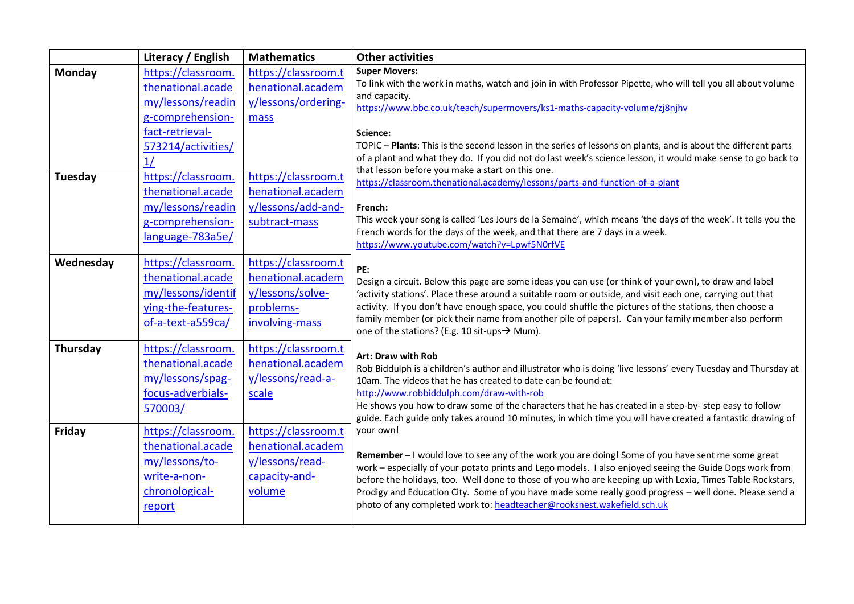|           | Literacy / English                                                                                       | <b>Mathematics</b>                                                                          | <b>Other activities</b>                                                                                                                                                                                                                                                                                                                                                                                                                                                                                                    |
|-----------|----------------------------------------------------------------------------------------------------------|---------------------------------------------------------------------------------------------|----------------------------------------------------------------------------------------------------------------------------------------------------------------------------------------------------------------------------------------------------------------------------------------------------------------------------------------------------------------------------------------------------------------------------------------------------------------------------------------------------------------------------|
| Monday    | https://classroom.<br>thenational.acade<br>my/lessons/readin<br>g-comprehension-<br>fact-retrieval-      | https://classroom.t<br>henational.academ<br>y/lessons/ordering-<br>mass                     | <b>Super Movers:</b><br>To link with the work in maths, watch and join in with Professor Pipette, who will tell you all about volume<br>and capacity.<br>https://www.bbc.co.uk/teach/supermovers/ks1-maths-capacity-volume/zj8njhv<br>Science:                                                                                                                                                                                                                                                                             |
|           | 573214/activities/<br>1/                                                                                 |                                                                                             | TOPIC - Plants: This is the second lesson in the series of lessons on plants, and is about the different parts<br>of a plant and what they do. If you did not do last week's science lesson, it would make sense to go back to                                                                                                                                                                                                                                                                                             |
| Tuesday   | https://classroom.<br>thenational.acade<br>my/lessons/readin<br>g-comprehension-<br>language-783a5e/     | https://classroom.t<br>henational.academ<br>y/lessons/add-and-<br>subtract-mass             | that lesson before you make a start on this one.<br>https://classroom.thenational.academy/lessons/parts-and-function-of-a-plant<br>French:<br>This week your song is called 'Les Jours de la Semaine', which means 'the days of the week'. It tells you the<br>French words for the days of the week, and that there are 7 days in a week.<br>https://www.youtube.com/watch?v=Lpwf5N0rfVE                                                                                                                                  |
| Wednesday | https://classroom.<br>thenational.acade<br>my/lessons/identif<br>ying-the-features-<br>of-a-text-a559ca/ | https://classroom.t<br>henational.academ<br>y/lessons/solve-<br>problems-<br>involving-mass | PE:<br>Design a circuit. Below this page are some ideas you can use (or think of your own), to draw and label<br>'activity stations'. Place these around a suitable room or outside, and visit each one, carrying out that<br>activity. If you don't have enough space, you could shuffle the pictures of the stations, then choose a<br>family member (or pick their name from another pile of papers). Can your family member also perform<br>one of the stations? (E.g. 10 sit-ups $\rightarrow$ Mum).                  |
| Thursday  | https://classroom.<br>thenational.acade<br>my/lessons/spag-<br>focus-adverbials-<br>570003/              | https://classroom.t<br>henational.academ<br>y/lessons/read-a-<br>scale                      | Art: Draw with Rob<br>Rob Biddulph is a children's author and illustrator who is doing 'live lessons' every Tuesday and Thursday at<br>10am. The videos that he has created to date can be found at:<br>http://www.robbiddulph.com/draw-with-rob<br>He shows you how to draw some of the characters that he has created in a step-by- step easy to follow<br>guide. Each guide only takes around 10 minutes, in which time you will have created a fantastic drawing of                                                    |
| Friday    | https://classroom.<br>thenational.acade<br>my/lessons/to-<br>write-a-non-<br>chronological-<br>report    | https://classroom.t<br>henational.academ<br>y/lessons/read-<br>capacity-and-<br>volume      | your own!<br>Remember - I would love to see any of the work you are doing! Some of you have sent me some great<br>work - especially of your potato prints and Lego models. I also enjoyed seeing the Guide Dogs work from<br>before the holidays, too. Well done to those of you who are keeping up with Lexia, Times Table Rockstars,<br>Prodigy and Education City. Some of you have made some really good progress - well done. Please send a<br>photo of any completed work to: headteacher@rooksnest.wakefield.sch.uk |